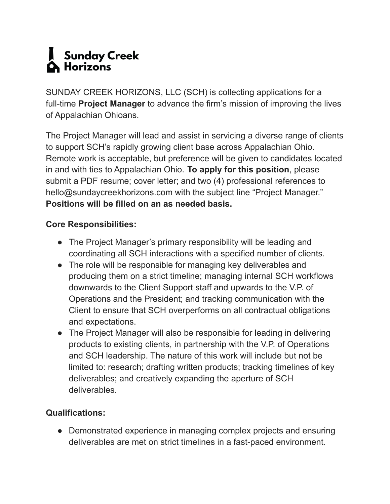## Sunday Creek **Horizons**

SUNDAY CREEK HORIZONS, LLC (SCH) is collecting applications for a full-time **Project Manager** to advance the firm's mission of improving the lives of Appalachian Ohioans.

The Project Manager will lead and assist in servicing a diverse range of clients to support SCH's rapidly growing client base across Appalachian Ohio. Remote work is acceptable, but preference will be given to candidates located in and with ties to Appalachian Ohio. **To apply for this position**, please submit a PDF resume; cover letter; and two (4) professional references to hello@sundaycreekhorizons.com with the subject line "Project Manager." **Positions will be filled on an as needed basis.**

## **Core Responsibilities:**

- The Project Manager's primary responsibility will be leading and coordinating all SCH interactions with a specified number of clients.
- The role will be responsible for managing key deliverables and producing them on a strict timeline; managing internal SCH workflows downwards to the Client Support staff and upwards to the V.P. of Operations and the President; and tracking communication with the Client to ensure that SCH overperforms on all contractual obligations and expectations.
- The Project Manager will also be responsible for leading in delivering products to existing clients, in partnership with the V.P. of Operations and SCH leadership. The nature of this work will include but not be limited to: research; drafting written products; tracking timelines of key deliverables; and creatively expanding the aperture of SCH deliverables.

## **Qualifications:**

• Demonstrated experience in managing complex projects and ensuring deliverables are met on strict timelines in a fast-paced environment.